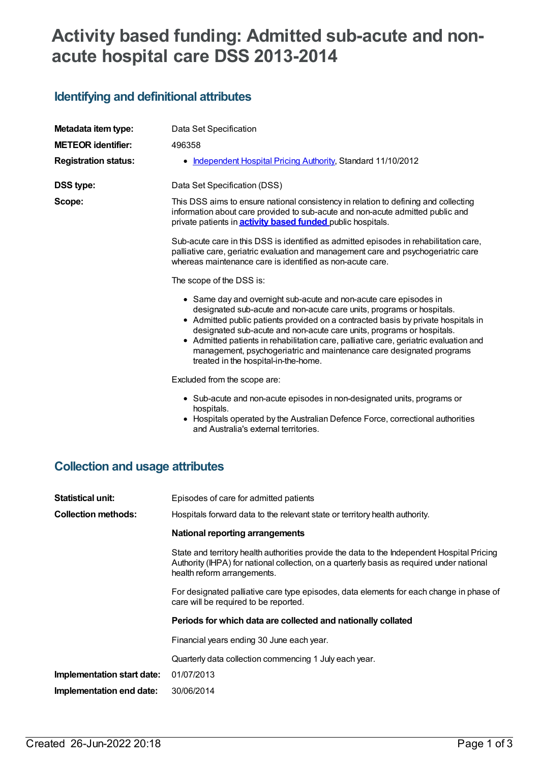# **Activity based funding: Admitted sub-acute and nonacute hospital care DSS 2013-2014**

# **Identifying and definitional attributes**

| Metadata item type:                    | Data Set Specification                                                                                                                                                                                                                                                                                                                                                                                                                                                                                            |
|----------------------------------------|-------------------------------------------------------------------------------------------------------------------------------------------------------------------------------------------------------------------------------------------------------------------------------------------------------------------------------------------------------------------------------------------------------------------------------------------------------------------------------------------------------------------|
| <b>METEOR identifier:</b>              | 496358                                                                                                                                                                                                                                                                                                                                                                                                                                                                                                            |
| <b>Registration status:</b>            | • Independent Hospital Pricing Authority, Standard 11/10/2012                                                                                                                                                                                                                                                                                                                                                                                                                                                     |
| <b>DSS type:</b>                       | Data Set Specification (DSS)                                                                                                                                                                                                                                                                                                                                                                                                                                                                                      |
| Scope:                                 | This DSS aims to ensure national consistency in relation to defining and collecting<br>information about care provided to sub-acute and non-acute admitted public and<br>private patients in <b>activity based funded</b> public hospitals.                                                                                                                                                                                                                                                                       |
|                                        | Sub-acute care in this DSS is identified as admitted episodes in rehabilitation care,<br>palliative care, geriatric evaluation and management care and psychogeriatric care<br>whereas maintenance care is identified as non-acute care.                                                                                                                                                                                                                                                                          |
|                                        | The scope of the DSS is:                                                                                                                                                                                                                                                                                                                                                                                                                                                                                          |
|                                        | • Same day and overnight sub-acute and non-acute care episodes in<br>designated sub-acute and non-acute care units, programs or hospitals.<br>• Admitted public patients provided on a contracted basis by private hospitals in<br>designated sub-acute and non-acute care units, programs or hospitals.<br>• Admitted patients in rehabilitation care, palliative care, geriatric evaluation and<br>management, psychogeriatric and maintenance care designated programs<br>treated in the hospital-in-the-home. |
|                                        | Excluded from the scope are:                                                                                                                                                                                                                                                                                                                                                                                                                                                                                      |
|                                        | • Sub-acute and non-acute episodes in non-designated units, programs or<br>hospitals.<br>• Hospitals operated by the Australian Defence Force, correctional authorities<br>and Australia's external territories.                                                                                                                                                                                                                                                                                                  |
| <b>Collection and usage attributes</b> |                                                                                                                                                                                                                                                                                                                                                                                                                                                                                                                   |
| <b>Statistical unit:</b>               | Episodes of care for admitted patients                                                                                                                                                                                                                                                                                                                                                                                                                                                                            |
| <b>Collection methods:</b>             | Hospitals forward data to the relevant state or territory health authority.                                                                                                                                                                                                                                                                                                                                                                                                                                       |
|                                        | <b>National reporting arrangements</b>                                                                                                                                                                                                                                                                                                                                                                                                                                                                            |
|                                        | State and territory health authorities provide the data to the Independent Hospital Pricing<br>Authority (IHPA) for national collection, on a quarterly basis as required under national<br>health reform arrangements.                                                                                                                                                                                                                                                                                           |
|                                        | For designated palliative care type episodes, data elements for each change in phase of<br>care will be required to be reported.                                                                                                                                                                                                                                                                                                                                                                                  |
|                                        | Periods for which data are collected and nationally collated                                                                                                                                                                                                                                                                                                                                                                                                                                                      |
|                                        | $\Gamma$ ingnojal voore onding 20. lung onab voor                                                                                                                                                                                                                                                                                                                                                                                                                                                                 |

Financial years ending 30 June each year.

Quarterly data collection commencing 1 July each year.

**Implementation start date:** 01/07/2013

**Implementation end date:** 30/06/2014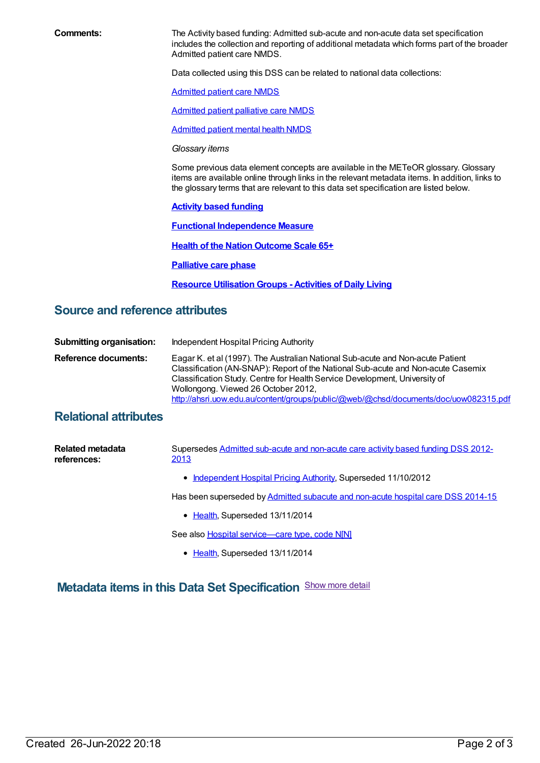**Comments:** The Activity based funding: Admitted sub-acute and non-acute data set specification includes the collection and reporting of additional metadata which forms part of the broader Admitted patient care NMDS.

Data collected using this DSS can be related to national data collections:

[Admitted](file:///content/491555) patient care NMDS

[Admitted](file:///content/504641) patient palliative care NMDS

[Admitted](file:///content/504646) patient mental health NMDS

*Glossary items*

Some previous data element concepts are available in the METeOR glossary. Glossary items are available online through links in the relevant metadata items. In addition, links to the glossary terms that are relevant to this data set specification are listed below.

**Activity based [funding](https://meteor.aihw.gov.au/content/496325)**

**Functional [Independence](https://meteor.aihw.gov.au/content/496325) Measure**

**Health of the Nation [Outcome](https://meteor.aihw.gov.au/content/495857) Scale 65+**

**[Palliative](https://meteor.aihw.gov.au/content/495880) care phase**

**Resource [Utilisation](https://meteor.aihw.gov.au/content/497358) Groups - Activities of Daily Living**

#### **Source and reference attributes**

| <b>Submitting organisation:</b> | Independent Hospital Pricing Authority                                                                                                                                                                                                                                                                                                                                          |
|---------------------------------|---------------------------------------------------------------------------------------------------------------------------------------------------------------------------------------------------------------------------------------------------------------------------------------------------------------------------------------------------------------------------------|
| Reference documents:            | Eagar K. et al (1997). The Australian National Sub-acute and Non-acute Patient<br>Classification (AN-SNAP): Report of the National Sub-acute and Non-acute Casemix<br>Classification Study. Centre for Health Service Development, University of<br>Wollongong. Viewed 26 October 2012,<br>http://ahsri.uow.edu.au/content/groups/public/@web/@chsd/documents/doc/uow082315.pdf |

### **Relational attributes**

| Related metadata<br>references: | Supersedes Admitted sub-acute and non-acute care activity based funding DSS 2012-<br>2013 |
|---------------------------------|-------------------------------------------------------------------------------------------|
|                                 | • Independent Hospital Pricing Authority, Superseded 11/10/2012                           |
|                                 | Has been superseded by Admitted subacute and non-acute hospital care DSS 2014-15          |

• [Health](https://meteor.aihw.gov.au/RegistrationAuthority/12), Superseded 13/11/2014

See also Hospital service-care type, code N[N]

• [Health](https://meteor.aihw.gov.au/RegistrationAuthority/12), Superseded 13/11/2014

## **Metadata items in this Data Set Specification** Show more detail